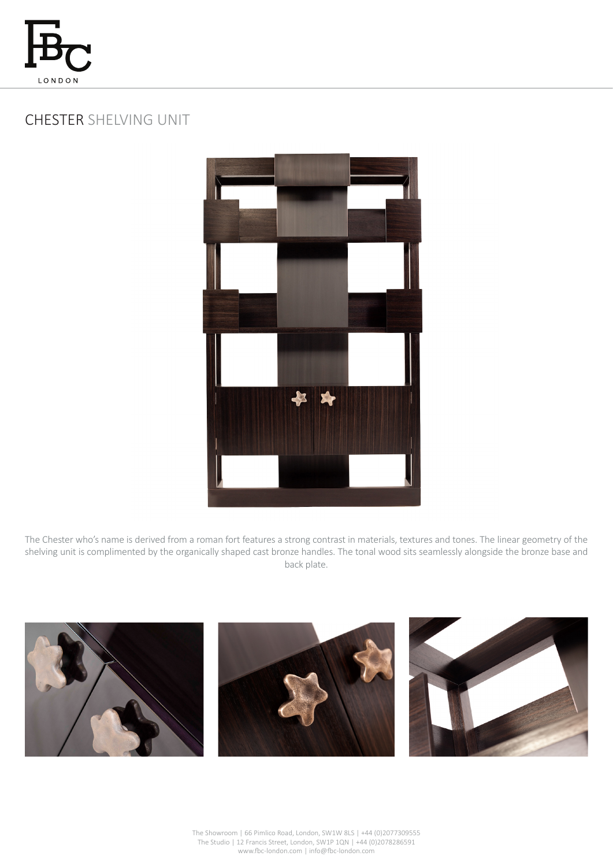

## CHESTER SHELVING UNIT



The Chester who's name is derived from a roman fort features a strong contrast in materials, textures and tones. The linear geometry of the shelving unit is complimented by the organically shaped cast bronze handles. The tonal wood sits seamlessly alongside the bronze base and back plate.